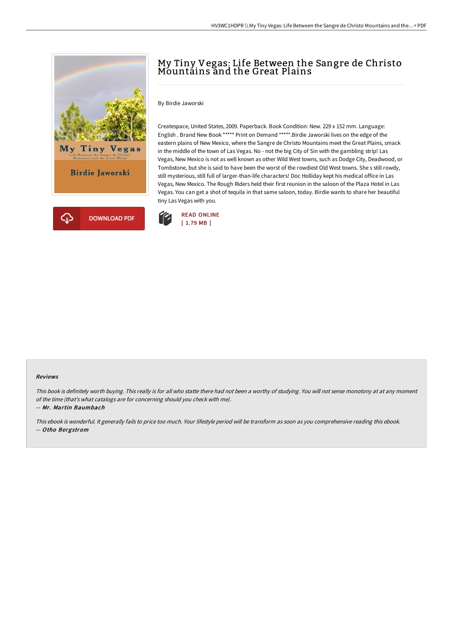

# My Tiny Vegas: Life Between the Sangre de Christo Mountains and the Great Plains

#### By Birdie Jaworski

Createspace, United States, 2009. Paperback. Book Condition: New. 229 x 152 mm. Language: English . Brand New Book \*\*\*\*\* Print on Demand \*\*\*\*\*.Birdie Jaworski lives on the edge of the eastern plains of New Mexico, where the Sangre de Christo Mountains meet the Great Plains, smack in the middle of the town of Las Vegas. No - not the big City of Sin with the gambling strip! Las Vegas, New Mexico is not as well known as other Wild West towns, such as Dodge City, Deadwood, or Tombstone, but she is said to have been the worst of the rowdiest Old West towns. She s still rowdy, still mysterious, still full of larger-than-life characters! Doc Holliday kept his medical office in Las Vegas, New Mexico. The Rough Riders held their first reunion in the saloon of the Plaza Hotel in Las Vegas. You can get a shot of tequila in that same saloon, today. Birdie wants to share her beautiful tiny Las Vegas with you.



#### Reviews

This book is definitely worth buying. This really is for all who statte there had not been a worthy of studying. You will not sense monotony at at any moment of the time (that's what catalogs are for concerning should you check with me).

-- Mr. Martin Baumbach

This ebook is wonderful. It generally fails to price too much. Your lifestyle period will be transform as soon as you comprehensive reading this ebook. -- Otho Bergstrom